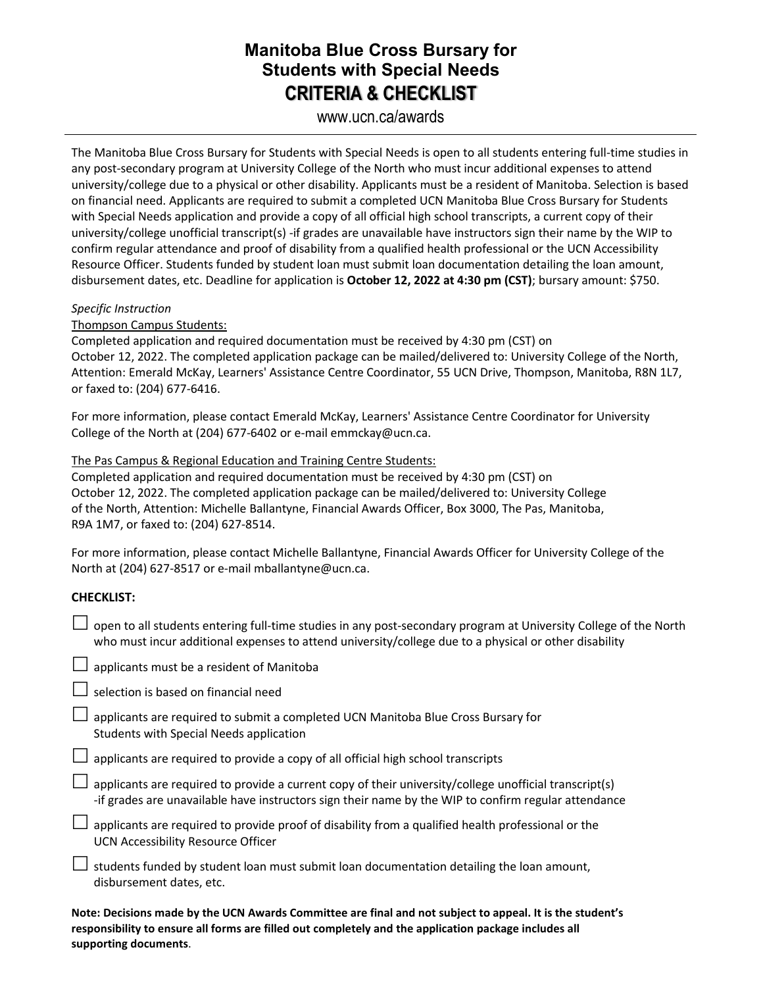## **Manitoba Blue Cross Bursary for Students with Special Needs CRITERIA & CHECKLIST**

### www.ucn.ca/awards

The Manitoba Blue Cross Bursary for Students with Special Needs is open to all students entering full-time studies in any post-secondary program at University College of the North who must incur additional expenses to attend university/college due to a physical or other disability. Applicants must be a resident of Manitoba. Selection is based on financial need. Applicants are required to submit a completed UCN Manitoba Blue Cross Bursary for Students with Special Needs application and provide a copy of all official high school transcripts, a current copy of their university/college unofficial transcript(s) -if grades are unavailable have instructors sign their name by the WIP to confirm regular attendance and proof of disability from a qualified health professional or the UCN Accessibility Resource Officer. Students funded by student loan must submit loan documentation detailing the loan amount, disbursement dates, etc. Deadline for application is **October 12, 2022 at 4:30 pm (CST)**; bursary amount: \$750.

#### *Specific Instruction*

Thompson Campus Students:

Completed application and required documentation must be received by 4:30 pm (CST) on October 12, 2022. The completed application package can be mailed/delivered to: University College of the North, Attention: Emerald McKay, Learners' Assistance Centre Coordinator, 55 UCN Drive, Thompson, Manitoba, R8N 1L7, or faxed to: (204) 677-6416.

For more information, please contact Emerald McKay, Learners' Assistance Centre Coordinator for University College of the North at (204) 677-6402 or e-mail emmckay@ucn.ca.

The Pas Campus & Regional Education and Training Centre Students:

Completed application and required documentation must be received by 4:30 pm (CST) on October 12, 2022. The completed application package can be mailed/delivered to: University College of the North, Attention: Michelle Ballantyne, Financial Awards Officer, Box 3000, The Pas, Manitoba, R9A 1M7, or faxed to: (204) 627-8514.

For more information, please contact Michelle Ballantyne, Financial Awards Officer for University College of the North at (204) 627-8517 or e-mail mballantyne@ucn.ca.

#### **CHECKLIST:**

 $\Box$  open to all students entering full-time studies in any post-secondary program at University College of the North who must incur additional expenses to attend university/college due to a physical or other disability

 $\Box$  applicants must be a resident of Manitoba

| $\Box$ selection is based on financial need |  |
|---------------------------------------------|--|
|---------------------------------------------|--|

- $\Box$  applicants are required to submit a completed UCN Manitoba Blue Cross Bursary for Students with Special Needs application
- $\Box$  applicants are required to provide a copy of all official high school transcripts
- $\Box$  applicants are required to provide a current copy of their university/college unofficial transcript(s) -if grades are unavailable have instructors sign their name by the WIP to confirm regular attendance
- $\Box$  applicants are required to provide proof of disability from a qualified health professional or the UCN Accessibility Resource Officer
- $\Box$  students funded by student loan must submit loan documentation detailing the loan amount, disbursement dates, etc.

**Note: Decisions made by the UCN Awards Committee are final and not subject to appeal. It is the student's responsibility to ensure all forms are filled out completely and the application package includes all supporting documents**.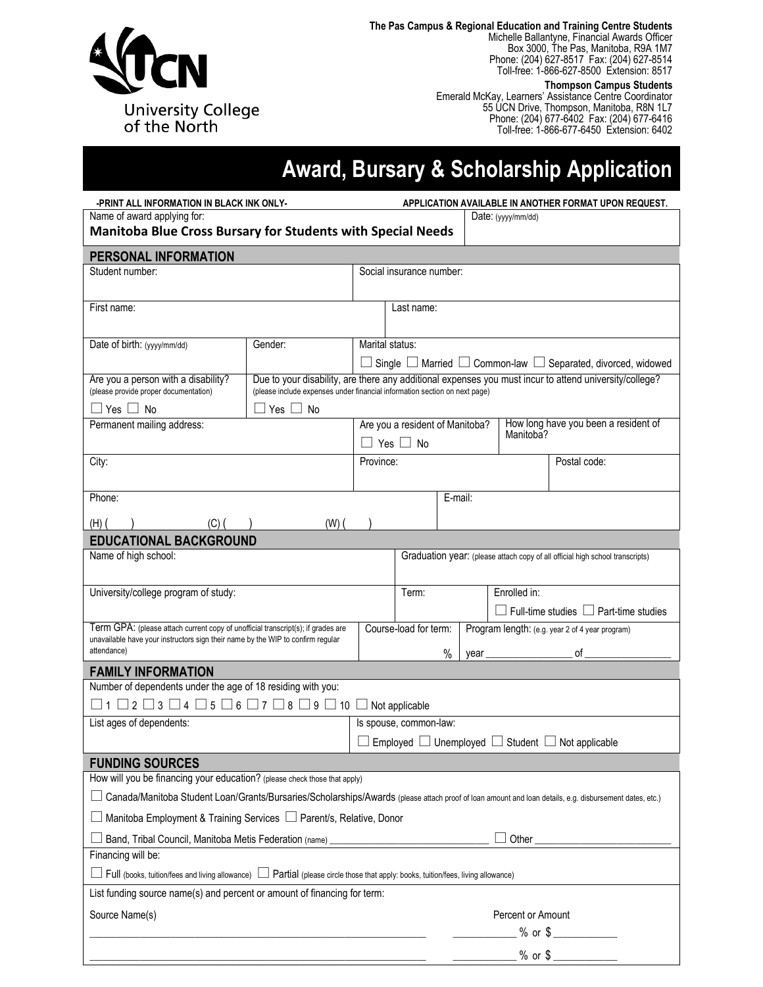

**The Pas Campus & Regional Education and Training Centre Students** Michelle Ballantyne, Financial Awards Officer Box 3000, The Pas, Manitoba, R9A 1M7 Phone: (204) 627-8517 Fax: (204) 627-8514 Toll-free: 1-866-627-8500 Extension: 8517

**Thompson Campus Students**

Emerald McKay, Learners' Assistance Centre Coordinator 55 UCN Drive, Thompson, Manitoba, R8N 1L7 Phone: (204) 677-6402 Fax: (204) 677-6416 Toll-free: 1-866-677-6450 Extension: 6402

# **Award, Bursary & Scholarship Application**

| Name of award applying for:<br>Date: (yyyy/mm/dd)<br><b>Manitoba Blue Cross Bursary for Students with Special Needs</b><br>PERSONAL INFORMATION<br>Student number:<br>Social insurance number:<br>First name:<br>Last name:<br>Marital status:<br>Date of birth: (yyyy/mm/dd)<br>Gender:<br>Single $\Box$ Married $\Box$ Common-law $\Box$ Separated, divorced, widowed<br>Due to your disability, are there any additional expenses you must incur to attend university/college?<br>Are you a person with a disability?<br>(please provide proper documentation)<br>(please include expenses under financial information section on next page)<br>$Yes \Box No$<br>∐ Yes ∐ No<br>How long have you been a resident of<br>Permanent mailing address:<br>Are you a resident of Manitoba?<br>Manitoba?<br>$\Box$ Yes $\Box$ No<br>City:<br>Postal code:<br>Province:<br>Phone:<br>E-mail:<br>$(C)$ ( )<br>(H) (<br>$(W)$ $($<br><b>EDUCATIONAL BACKGROUND</b><br>Name of high school:<br>Graduation year: (please attach copy of all official high school transcripts)<br>University/college program of study:<br>Enrolled in:<br>Term:<br>$\Box$ Full-time studies $\Box$ Part-time studies<br>Term GPA: (please attach current copy of unofficial transcript(s); if grades are<br>Course-load for term:<br>Program length: (e.g. year 2 of 4 year program)<br>unavailable have your instructors sign their name by the WIP to confirm regular<br>attendance)<br>$\%$<br>of<br><b>FAMILY INFORMATION</b><br>Number of dependents under the age of 18 residing with you:<br>$\Box$ 1 $\Box$ 2 $\Box$ 3 $\Box$ 4 $\Box$ 5 $\Box$ 6 $\Box$ 7 $\Box$ 8 $\Box$ 9 $\Box$ 10 $\Box$ Not applicable<br>List ages of dependents:<br>Is spouse, common-law:<br>Employed $\Box$ Unemployed $\Box$ Student $\Box$ Not applicable<br><b>FUNDING SOURCES</b><br>How will you be financing your education? (please check those that apply)<br>Canada/Manitoba Student Loan/Grants/Bursaries/Scholarships/Awards (please attach proof of loan amount and loan details, e.g. disbursement dates, etc.)<br>Manitoba Employment & Training Services □ Parent/s, Relative, Donor<br>Band, Tribal Council, Manitoba Metis Federation (name) _________________________<br>Other | -PRINT ALL INFORMATION IN BLACK INK ONLY-<br>APPLICATION AVAILABLE IN ANOTHER FORMAT UPON REQUEST. |  |  |                   |                            |  |  |  |
|----------------------------------------------------------------------------------------------------------------------------------------------------------------------------------------------------------------------------------------------------------------------------------------------------------------------------------------------------------------------------------------------------------------------------------------------------------------------------------------------------------------------------------------------------------------------------------------------------------------------------------------------------------------------------------------------------------------------------------------------------------------------------------------------------------------------------------------------------------------------------------------------------------------------------------------------------------------------------------------------------------------------------------------------------------------------------------------------------------------------------------------------------------------------------------------------------------------------------------------------------------------------------------------------------------------------------------------------------------------------------------------------------------------------------------------------------------------------------------------------------------------------------------------------------------------------------------------------------------------------------------------------------------------------------------------------------------------------------------------------------------------------------------------------------------------------------------------------------------------------------------------------------------------------------------------------------------------------------------------------------------------------------------------------------------------------------------------------------------------------------------------------------------------------------------------------------------------------------------------------------------|----------------------------------------------------------------------------------------------------|--|--|-------------------|----------------------------|--|--|--|
|                                                                                                                                                                                                                                                                                                                                                                                                                                                                                                                                                                                                                                                                                                                                                                                                                                                                                                                                                                                                                                                                                                                                                                                                                                                                                                                                                                                                                                                                                                                                                                                                                                                                                                                                                                                                                                                                                                                                                                                                                                                                                                                                                                                                                                                          |                                                                                                    |  |  |                   |                            |  |  |  |
|                                                                                                                                                                                                                                                                                                                                                                                                                                                                                                                                                                                                                                                                                                                                                                                                                                                                                                                                                                                                                                                                                                                                                                                                                                                                                                                                                                                                                                                                                                                                                                                                                                                                                                                                                                                                                                                                                                                                                                                                                                                                                                                                                                                                                                                          |                                                                                                    |  |  |                   |                            |  |  |  |
|                                                                                                                                                                                                                                                                                                                                                                                                                                                                                                                                                                                                                                                                                                                                                                                                                                                                                                                                                                                                                                                                                                                                                                                                                                                                                                                                                                                                                                                                                                                                                                                                                                                                                                                                                                                                                                                                                                                                                                                                                                                                                                                                                                                                                                                          |                                                                                                    |  |  |                   |                            |  |  |  |
|                                                                                                                                                                                                                                                                                                                                                                                                                                                                                                                                                                                                                                                                                                                                                                                                                                                                                                                                                                                                                                                                                                                                                                                                                                                                                                                                                                                                                                                                                                                                                                                                                                                                                                                                                                                                                                                                                                                                                                                                                                                                                                                                                                                                                                                          |                                                                                                    |  |  |                   |                            |  |  |  |
|                                                                                                                                                                                                                                                                                                                                                                                                                                                                                                                                                                                                                                                                                                                                                                                                                                                                                                                                                                                                                                                                                                                                                                                                                                                                                                                                                                                                                                                                                                                                                                                                                                                                                                                                                                                                                                                                                                                                                                                                                                                                                                                                                                                                                                                          |                                                                                                    |  |  |                   |                            |  |  |  |
|                                                                                                                                                                                                                                                                                                                                                                                                                                                                                                                                                                                                                                                                                                                                                                                                                                                                                                                                                                                                                                                                                                                                                                                                                                                                                                                                                                                                                                                                                                                                                                                                                                                                                                                                                                                                                                                                                                                                                                                                                                                                                                                                                                                                                                                          |                                                                                                    |  |  |                   |                            |  |  |  |
|                                                                                                                                                                                                                                                                                                                                                                                                                                                                                                                                                                                                                                                                                                                                                                                                                                                                                                                                                                                                                                                                                                                                                                                                                                                                                                                                                                                                                                                                                                                                                                                                                                                                                                                                                                                                                                                                                                                                                                                                                                                                                                                                                                                                                                                          |                                                                                                    |  |  |                   |                            |  |  |  |
|                                                                                                                                                                                                                                                                                                                                                                                                                                                                                                                                                                                                                                                                                                                                                                                                                                                                                                                                                                                                                                                                                                                                                                                                                                                                                                                                                                                                                                                                                                                                                                                                                                                                                                                                                                                                                                                                                                                                                                                                                                                                                                                                                                                                                                                          |                                                                                                    |  |  |                   |                            |  |  |  |
|                                                                                                                                                                                                                                                                                                                                                                                                                                                                                                                                                                                                                                                                                                                                                                                                                                                                                                                                                                                                                                                                                                                                                                                                                                                                                                                                                                                                                                                                                                                                                                                                                                                                                                                                                                                                                                                                                                                                                                                                                                                                                                                                                                                                                                                          |                                                                                                    |  |  |                   |                            |  |  |  |
|                                                                                                                                                                                                                                                                                                                                                                                                                                                                                                                                                                                                                                                                                                                                                                                                                                                                                                                                                                                                                                                                                                                                                                                                                                                                                                                                                                                                                                                                                                                                                                                                                                                                                                                                                                                                                                                                                                                                                                                                                                                                                                                                                                                                                                                          |                                                                                                    |  |  |                   |                            |  |  |  |
|                                                                                                                                                                                                                                                                                                                                                                                                                                                                                                                                                                                                                                                                                                                                                                                                                                                                                                                                                                                                                                                                                                                                                                                                                                                                                                                                                                                                                                                                                                                                                                                                                                                                                                                                                                                                                                                                                                                                                                                                                                                                                                                                                                                                                                                          |                                                                                                    |  |  |                   |                            |  |  |  |
|                                                                                                                                                                                                                                                                                                                                                                                                                                                                                                                                                                                                                                                                                                                                                                                                                                                                                                                                                                                                                                                                                                                                                                                                                                                                                                                                                                                                                                                                                                                                                                                                                                                                                                                                                                                                                                                                                                                                                                                                                                                                                                                                                                                                                                                          |                                                                                                    |  |  |                   |                            |  |  |  |
|                                                                                                                                                                                                                                                                                                                                                                                                                                                                                                                                                                                                                                                                                                                                                                                                                                                                                                                                                                                                                                                                                                                                                                                                                                                                                                                                                                                                                                                                                                                                                                                                                                                                                                                                                                                                                                                                                                                                                                                                                                                                                                                                                                                                                                                          |                                                                                                    |  |  |                   |                            |  |  |  |
|                                                                                                                                                                                                                                                                                                                                                                                                                                                                                                                                                                                                                                                                                                                                                                                                                                                                                                                                                                                                                                                                                                                                                                                                                                                                                                                                                                                                                                                                                                                                                                                                                                                                                                                                                                                                                                                                                                                                                                                                                                                                                                                                                                                                                                                          |                                                                                                    |  |  |                   |                            |  |  |  |
|                                                                                                                                                                                                                                                                                                                                                                                                                                                                                                                                                                                                                                                                                                                                                                                                                                                                                                                                                                                                                                                                                                                                                                                                                                                                                                                                                                                                                                                                                                                                                                                                                                                                                                                                                                                                                                                                                                                                                                                                                                                                                                                                                                                                                                                          |                                                                                                    |  |  |                   |                            |  |  |  |
|                                                                                                                                                                                                                                                                                                                                                                                                                                                                                                                                                                                                                                                                                                                                                                                                                                                                                                                                                                                                                                                                                                                                                                                                                                                                                                                                                                                                                                                                                                                                                                                                                                                                                                                                                                                                                                                                                                                                                                                                                                                                                                                                                                                                                                                          |                                                                                                    |  |  |                   |                            |  |  |  |
|                                                                                                                                                                                                                                                                                                                                                                                                                                                                                                                                                                                                                                                                                                                                                                                                                                                                                                                                                                                                                                                                                                                                                                                                                                                                                                                                                                                                                                                                                                                                                                                                                                                                                                                                                                                                                                                                                                                                                                                                                                                                                                                                                                                                                                                          |                                                                                                    |  |  |                   |                            |  |  |  |
|                                                                                                                                                                                                                                                                                                                                                                                                                                                                                                                                                                                                                                                                                                                                                                                                                                                                                                                                                                                                                                                                                                                                                                                                                                                                                                                                                                                                                                                                                                                                                                                                                                                                                                                                                                                                                                                                                                                                                                                                                                                                                                                                                                                                                                                          |                                                                                                    |  |  |                   |                            |  |  |  |
|                                                                                                                                                                                                                                                                                                                                                                                                                                                                                                                                                                                                                                                                                                                                                                                                                                                                                                                                                                                                                                                                                                                                                                                                                                                                                                                                                                                                                                                                                                                                                                                                                                                                                                                                                                                                                                                                                                                                                                                                                                                                                                                                                                                                                                                          |                                                                                                    |  |  |                   |                            |  |  |  |
|                                                                                                                                                                                                                                                                                                                                                                                                                                                                                                                                                                                                                                                                                                                                                                                                                                                                                                                                                                                                                                                                                                                                                                                                                                                                                                                                                                                                                                                                                                                                                                                                                                                                                                                                                                                                                                                                                                                                                                                                                                                                                                                                                                                                                                                          |                                                                                                    |  |  |                   |                            |  |  |  |
|                                                                                                                                                                                                                                                                                                                                                                                                                                                                                                                                                                                                                                                                                                                                                                                                                                                                                                                                                                                                                                                                                                                                                                                                                                                                                                                                                                                                                                                                                                                                                                                                                                                                                                                                                                                                                                                                                                                                                                                                                                                                                                                                                                                                                                                          |                                                                                                    |  |  |                   |                            |  |  |  |
|                                                                                                                                                                                                                                                                                                                                                                                                                                                                                                                                                                                                                                                                                                                                                                                                                                                                                                                                                                                                                                                                                                                                                                                                                                                                                                                                                                                                                                                                                                                                                                                                                                                                                                                                                                                                                                                                                                                                                                                                                                                                                                                                                                                                                                                          |                                                                                                    |  |  |                   |                            |  |  |  |
|                                                                                                                                                                                                                                                                                                                                                                                                                                                                                                                                                                                                                                                                                                                                                                                                                                                                                                                                                                                                                                                                                                                                                                                                                                                                                                                                                                                                                                                                                                                                                                                                                                                                                                                                                                                                                                                                                                                                                                                                                                                                                                                                                                                                                                                          |                                                                                                    |  |  |                   |                            |  |  |  |
|                                                                                                                                                                                                                                                                                                                                                                                                                                                                                                                                                                                                                                                                                                                                                                                                                                                                                                                                                                                                                                                                                                                                                                                                                                                                                                                                                                                                                                                                                                                                                                                                                                                                                                                                                                                                                                                                                                                                                                                                                                                                                                                                                                                                                                                          |                                                                                                    |  |  |                   |                            |  |  |  |
|                                                                                                                                                                                                                                                                                                                                                                                                                                                                                                                                                                                                                                                                                                                                                                                                                                                                                                                                                                                                                                                                                                                                                                                                                                                                                                                                                                                                                                                                                                                                                                                                                                                                                                                                                                                                                                                                                                                                                                                                                                                                                                                                                                                                                                                          |                                                                                                    |  |  |                   |                            |  |  |  |
|                                                                                                                                                                                                                                                                                                                                                                                                                                                                                                                                                                                                                                                                                                                                                                                                                                                                                                                                                                                                                                                                                                                                                                                                                                                                                                                                                                                                                                                                                                                                                                                                                                                                                                                                                                                                                                                                                                                                                                                                                                                                                                                                                                                                                                                          |                                                                                                    |  |  |                   |                            |  |  |  |
|                                                                                                                                                                                                                                                                                                                                                                                                                                                                                                                                                                                                                                                                                                                                                                                                                                                                                                                                                                                                                                                                                                                                                                                                                                                                                                                                                                                                                                                                                                                                                                                                                                                                                                                                                                                                                                                                                                                                                                                                                                                                                                                                                                                                                                                          |                                                                                                    |  |  |                   |                            |  |  |  |
|                                                                                                                                                                                                                                                                                                                                                                                                                                                                                                                                                                                                                                                                                                                                                                                                                                                                                                                                                                                                                                                                                                                                                                                                                                                                                                                                                                                                                                                                                                                                                                                                                                                                                                                                                                                                                                                                                                                                                                                                                                                                                                                                                                                                                                                          |                                                                                                    |  |  |                   |                            |  |  |  |
|                                                                                                                                                                                                                                                                                                                                                                                                                                                                                                                                                                                                                                                                                                                                                                                                                                                                                                                                                                                                                                                                                                                                                                                                                                                                                                                                                                                                                                                                                                                                                                                                                                                                                                                                                                                                                                                                                                                                                                                                                                                                                                                                                                                                                                                          |                                                                                                    |  |  |                   |                            |  |  |  |
|                                                                                                                                                                                                                                                                                                                                                                                                                                                                                                                                                                                                                                                                                                                                                                                                                                                                                                                                                                                                                                                                                                                                                                                                                                                                                                                                                                                                                                                                                                                                                                                                                                                                                                                                                                                                                                                                                                                                                                                                                                                                                                                                                                                                                                                          |                                                                                                    |  |  |                   |                            |  |  |  |
|                                                                                                                                                                                                                                                                                                                                                                                                                                                                                                                                                                                                                                                                                                                                                                                                                                                                                                                                                                                                                                                                                                                                                                                                                                                                                                                                                                                                                                                                                                                                                                                                                                                                                                                                                                                                                                                                                                                                                                                                                                                                                                                                                                                                                                                          |                                                                                                    |  |  |                   |                            |  |  |  |
|                                                                                                                                                                                                                                                                                                                                                                                                                                                                                                                                                                                                                                                                                                                                                                                                                                                                                                                                                                                                                                                                                                                                                                                                                                                                                                                                                                                                                                                                                                                                                                                                                                                                                                                                                                                                                                                                                                                                                                                                                                                                                                                                                                                                                                                          |                                                                                                    |  |  |                   |                            |  |  |  |
|                                                                                                                                                                                                                                                                                                                                                                                                                                                                                                                                                                                                                                                                                                                                                                                                                                                                                                                                                                                                                                                                                                                                                                                                                                                                                                                                                                                                                                                                                                                                                                                                                                                                                                                                                                                                                                                                                                                                                                                                                                                                                                                                                                                                                                                          |                                                                                                    |  |  |                   |                            |  |  |  |
|                                                                                                                                                                                                                                                                                                                                                                                                                                                                                                                                                                                                                                                                                                                                                                                                                                                                                                                                                                                                                                                                                                                                                                                                                                                                                                                                                                                                                                                                                                                                                                                                                                                                                                                                                                                                                                                                                                                                                                                                                                                                                                                                                                                                                                                          |                                                                                                    |  |  |                   |                            |  |  |  |
| Financing will be:                                                                                                                                                                                                                                                                                                                                                                                                                                                                                                                                                                                                                                                                                                                                                                                                                                                                                                                                                                                                                                                                                                                                                                                                                                                                                                                                                                                                                                                                                                                                                                                                                                                                                                                                                                                                                                                                                                                                                                                                                                                                                                                                                                                                                                       |                                                                                                    |  |  |                   |                            |  |  |  |
| Full (books, tuition/fees and living allowance)<br>Partial (please circle those that apply: books, tuition/fees, living allowance)                                                                                                                                                                                                                                                                                                                                                                                                                                                                                                                                                                                                                                                                                                                                                                                                                                                                                                                                                                                                                                                                                                                                                                                                                                                                                                                                                                                                                                                                                                                                                                                                                                                                                                                                                                                                                                                                                                                                                                                                                                                                                                                       |                                                                                                    |  |  |                   |                            |  |  |  |
| List funding source name(s) and percent or amount of financing for term:                                                                                                                                                                                                                                                                                                                                                                                                                                                                                                                                                                                                                                                                                                                                                                                                                                                                                                                                                                                                                                                                                                                                                                                                                                                                                                                                                                                                                                                                                                                                                                                                                                                                                                                                                                                                                                                                                                                                                                                                                                                                                                                                                                                 |                                                                                                    |  |  |                   |                            |  |  |  |
| Source Name(s)                                                                                                                                                                                                                                                                                                                                                                                                                                                                                                                                                                                                                                                                                                                                                                                                                                                                                                                                                                                                                                                                                                                                                                                                                                                                                                                                                                                                                                                                                                                                                                                                                                                                                                                                                                                                                                                                                                                                                                                                                                                                                                                                                                                                                                           |                                                                                                    |  |  | Percent or Amount |                            |  |  |  |
|                                                                                                                                                                                                                                                                                                                                                                                                                                                                                                                                                                                                                                                                                                                                                                                                                                                                                                                                                                                                                                                                                                                                                                                                                                                                                                                                                                                                                                                                                                                                                                                                                                                                                                                                                                                                                                                                                                                                                                                                                                                                                                                                                                                                                                                          |                                                                                                    |  |  |                   | ______ % or \$ ___________ |  |  |  |
|                                                                                                                                                                                                                                                                                                                                                                                                                                                                                                                                                                                                                                                                                                                                                                                                                                                                                                                                                                                                                                                                                                                                                                                                                                                                                                                                                                                                                                                                                                                                                                                                                                                                                                                                                                                                                                                                                                                                                                                                                                                                                                                                                                                                                                                          |                                                                                                    |  |  |                   |                            |  |  |  |